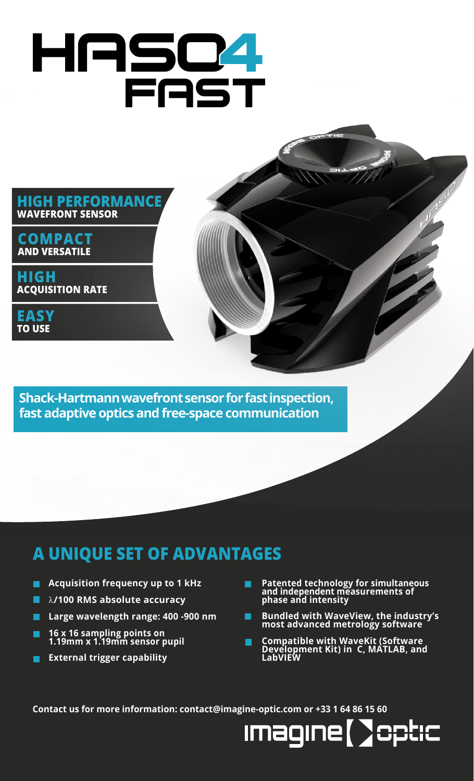# HASC4<br>FAST

# **HIGH PERFORMANCE WAVEFRONT SENSOR**

**COMPACT AND VERSATILE**

**HIGH ACQUISITION RATE**

**EASY TO USE**

**Shack-Hartmann wavefront sensor for fast inspection, fast adaptive optics and free-space communication**

# **A UNIQUE SET OF ADVANTAGES**

- **Acquisition frequency up to 1 kHz**   $\blacksquare$
- **L**  $\sqrt{100}$  RMS absolute accuracy
- **Large wavelength range: 400 -900 nm**
- **16 x 16 sampling points on 1.19mm x 1.19mm sensor pupil**
- **External trigger capability**
- **Patented technology for simultaneous and independent measurements of phase and intensity**
- **Bundled with WaveView, the industry's most advanced metrology software**
- **Compatible with WaveKit (Software Development Kit) in C, MATLAB, and LabVIEW**

**Contact us for more information: contact@imagine-optic.com or +33 1 64 86 15 60**

**Imagine [ ] optic**